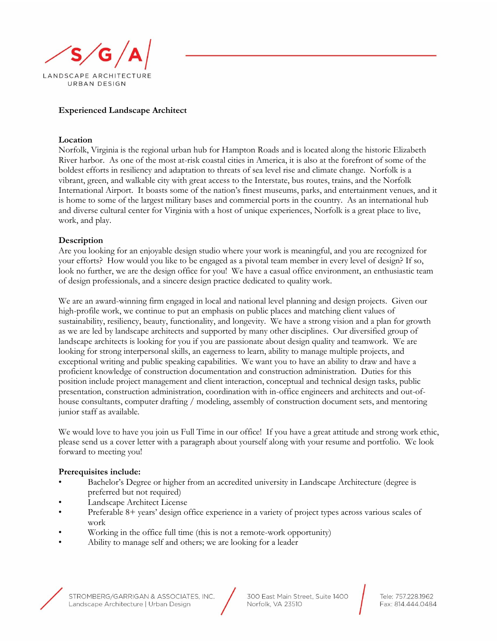

## **Experienced Landscape Architect**

## **Location**

Norfolk, Virginia is the regional urban hub for Hampton Roads and is located along the historic Elizabeth River harbor. As one of the most at-risk coastal cities in America, it is also at the forefront of some of the boldest efforts in resiliency and adaptation to threats of sea level rise and climate change. Norfolk is a vibrant, green, and walkable city with great access to the Interstate, bus routes, trains, and the Norfolk International Airport. It boasts some of the nation's finest museums, parks, and entertainment venues, and it is home to some of the largest military bases and commercial ports in the country. As an international hub and diverse cultural center for Virginia with a host of unique experiences, Norfolk is a great place to live, work, and play.

## **Description**

Are you looking for an enjoyable design studio where your work is meaningful, and you are recognized for your efforts? How would you like to be engaged as a pivotal team member in every level of design? If so, look no further, we are the design office for you! We have a casual office environment, an enthusiastic team of design professionals, and a sincere design practice dedicated to quality work.

We are an award-winning firm engaged in local and national level planning and design projects. Given our high-profile work, we continue to put an emphasis on public places and matching client values of sustainability, resiliency, beauty, functionality, and longevity. We have a strong vision and a plan for growth as we are led by landscape architects and supported by many other disciplines. Our diversified group of landscape architects is looking for you if you are passionate about design quality and teamwork. We are looking for strong interpersonal skills, an eagerness to learn, ability to manage multiple projects, and exceptional writing and public speaking capabilities. We want you to have an ability to draw and have a proficient knowledge of construction documentation and construction administration. Duties for this position include project management and client interaction, conceptual and technical design tasks, public presentation, construction administration, coordination with in-office engineers and architects and out-ofhouse consultants, computer drafting / modeling, assembly of construction document sets, and mentoring junior staff as available.

We would love to have you join us Full Time in our office! If you have a great attitude and strong work ethic, please send us a cover letter with a paragraph about yourself along with your resume and portfolio. We look forward to meeting you!

## **Prerequisites include:**

- Bachelor's Degree or higher from an accredited university in Landscape Architecture (degree is preferred but not required)
- Landscape Architect License
- Preferable 8+ years' design office experience in a variety of project types across various scales of work
- Working in the office full time (this is not a remote-work opportunity)
- Ability to manage self and others; we are looking for a leader